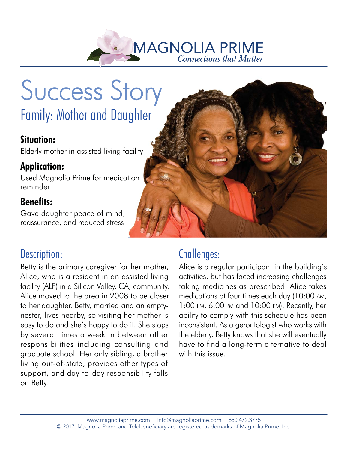

# Success Story Family: Mother and Daughter

#### **Situation:**

Elderly mother in assisted living facility Elderly mother in assisted living facility<br>**Application:**<br>Used Magnolia Prime for medication

#### **Application:**

reminder

#### **Benefits:**

Gave daughter peace of mind, reassurance, and reduced stress

## Description:

Betty is the primary caregiver for her mother, Alice, who is a resident in an assisted living facility (ALF) in a Silicon Valley, CA, community. Alice moved to the area in 2008 to be closer to her daughter. Betty, married and an emptynester, lives nearby, so visiting her mother is easy to do and she's happy to do it. She stops by several times a week in between other responsibilities including consulting and graduate school. Her only sibling, a brother living out-of-state, provides other types of support, and day-to-day responsibility falls on Betty.

## Challenges:

Alice is a regular participant in the building's activities, but has faced increasing challenges taking medicines as prescribed. Alice takes medications at four times each day (10:00 AM, 1:00 PM, 6:00 PM and 10:00 PM). Recently, her ability to comply with this schedule has been inconsistent. As a gerontologist who works with the elderly, Betty knows that she will eventually have to find a long-term alternative to deal with this issue.